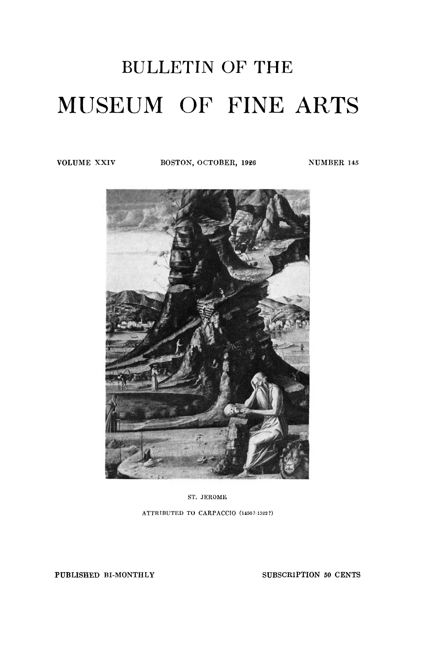# BULLETIN OF THE MUSEUM OF FINE ARTS

**VOLUME XXIV BOSTON, OCTOBER, 1926** NUMBER 145



ST. **JEROME ATTRIBUTED TO CARPACCIO (1450?-1522?)** 

PUBLISHED BI-MONTHLY SUBSCRIPTION 50 CENTS